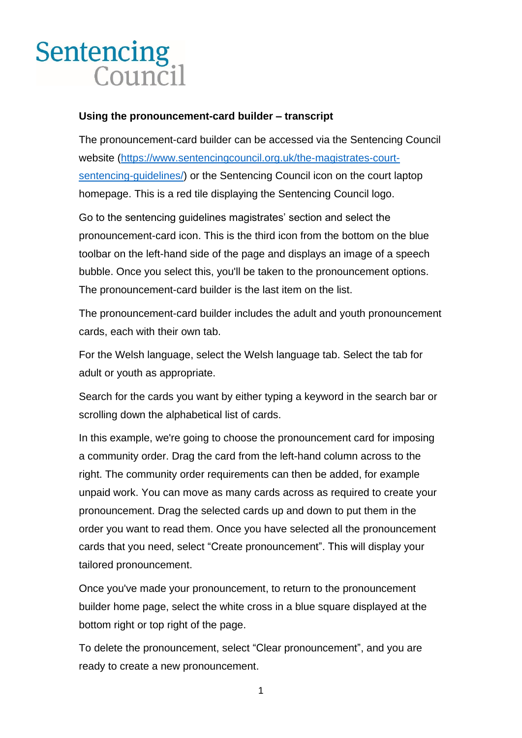## **Sentencing** Council

## **Using the pronouncement-card builder – transcript**

The pronouncement-card builder can be accessed via the Sentencing Council website [\(https://www.sentencingcouncil.org.uk/the-magistrates-court](https://www.sentencingcouncil.org.uk/the-magistrates-court-sentencing-guidelines/)[sentencing-guidelines/\)](https://www.sentencingcouncil.org.uk/the-magistrates-court-sentencing-guidelines/) or the Sentencing Council icon on the court laptop homepage. This is a red tile displaying the Sentencing Council logo.

Go to the sentencing guidelines magistrates' section and select the pronouncement-card icon. This is the third icon from the bottom on the blue toolbar on the left-hand side of the page and displays an image of a speech bubble. Once you select this, you'll be taken to the pronouncement options. The pronouncement-card builder is the last item on the list.

The pronouncement-card builder includes the adult and youth pronouncement cards, each with their own tab.

For the Welsh language, select the Welsh language tab. Select the tab for adult or youth as appropriate.

Search for the cards you want by either typing a keyword in the search bar or scrolling down the alphabetical list of cards.

In this example, we're going to choose the pronouncement card for imposing a community order. Drag the card from the left-hand column across to the right. The community order requirements can then be added, for example unpaid work. You can move as many cards across as required to create your pronouncement. Drag the selected cards up and down to put them in the order you want to read them. Once you have selected all the pronouncement cards that you need, select "Create pronouncement". This will display your tailored pronouncement.

Once you've made your pronouncement, to return to the pronouncement builder home page, select the white cross in a blue square displayed at the bottom right or top right of the page.

To delete the pronouncement, select "Clear pronouncement", and you are ready to create a new pronouncement.